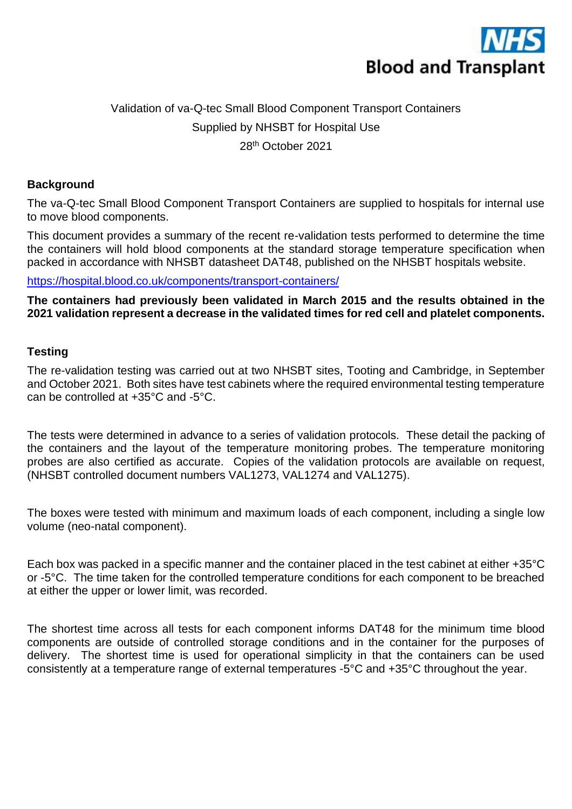

# Validation of va-Q-tec Small Blood Component Transport Containers Supplied by NHSBT for Hospital Use 28th October 2021

#### **Background**

The va-Q-tec Small Blood Component Transport Containers are supplied to hospitals for internal use to move blood components.

This document provides a summary of the recent re-validation tests performed to determine the time the containers will hold blood components at the standard storage temperature specification when packed in accordance with NHSBT datasheet DAT48, published on the NHSBT hospitals website.

<https://hospital.blood.co.uk/components/transport-containers/>

**The containers had previously been validated in March 2015 and the results obtained in the 2021 validation represent a decrease in the validated times for red cell and platelet components.** 

### **Testing**

The re-validation testing was carried out at two NHSBT sites, Tooting and Cambridge, in September and October 2021. Both sites have test cabinets where the required environmental testing temperature can be controlled at +35°C and -5°C.

The tests were determined in advance to a series of validation protocols. These detail the packing of the containers and the layout of the temperature monitoring probes. The temperature monitoring probes are also certified as accurate. Copies of the validation protocols are available on request, (NHSBT controlled document numbers VAL1273, VAL1274 and VAL1275).

The boxes were tested with minimum and maximum loads of each component, including a single low volume (neo-natal component).

Each box was packed in a specific manner and the container placed in the test cabinet at either +35°C or -5°C. The time taken for the controlled temperature conditions for each component to be breached at either the upper or lower limit, was recorded.

The shortest time across all tests for each component informs DAT48 for the minimum time blood components are outside of controlled storage conditions and in the container for the purposes of delivery. The shortest time is used for operational simplicity in that the containers can be used consistently at a temperature range of external temperatures -5°C and +35°C throughout the year.